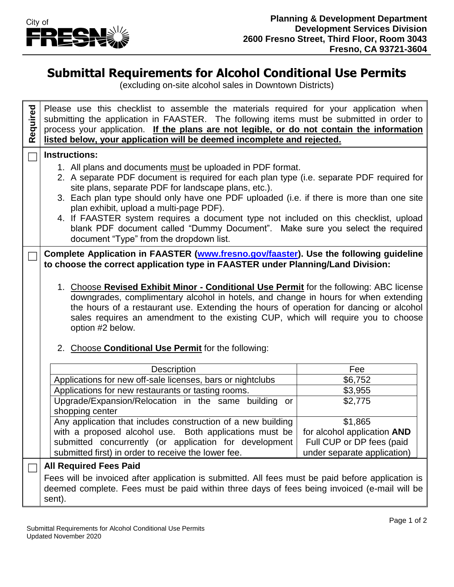

## **Submittal Requirements for Alcohol Conditional Use Permits**

(excluding on-site alcohol sales in Downtown Districts)

| Required | Please use this checklist to assemble the materials required for your application when<br>submitting the application in FAASTER. The following items must be submitted in order to<br>process your application. If the plans are not legible, or do not contain the information<br>listed below, your application will be deemed incomplete and rejected.                                                                                                                                                                       |  |                             |  |
|----------|---------------------------------------------------------------------------------------------------------------------------------------------------------------------------------------------------------------------------------------------------------------------------------------------------------------------------------------------------------------------------------------------------------------------------------------------------------------------------------------------------------------------------------|--|-----------------------------|--|
|          | <b>Instructions:</b>                                                                                                                                                                                                                                                                                                                                                                                                                                                                                                            |  |                             |  |
|          | 1. All plans and documents must be uploaded in PDF format.<br>2. A separate PDF document is required for each plan type (i.e. separate PDF required for<br>site plans, separate PDF for landscape plans, etc.).<br>3. Each plan type should only have one PDF uploaded (i.e. if there is more than one site<br>plan exhibit, upload a multi-page PDF).<br>4. If FAASTER system requires a document type not included on this checklist, upload<br>blank PDF document called "Dummy Document". Make sure you select the required |  |                             |  |
|          | document "Type" from the dropdown list.                                                                                                                                                                                                                                                                                                                                                                                                                                                                                         |  |                             |  |
|          | Complete Application in FAASTER (www.fresno.gov/faaster). Use the following guideline<br>to choose the correct application type in FAASTER under Planning/Land Division:                                                                                                                                                                                                                                                                                                                                                        |  |                             |  |
|          |                                                                                                                                                                                                                                                                                                                                                                                                                                                                                                                                 |  |                             |  |
|          | 1. Choose Revised Exhibit Minor - Conditional Use Permit for the following: ABC license<br>downgrades, complimentary alcohol in hotels, and change in hours for when extending<br>the hours of a restaurant use. Extending the hours of operation for dancing or alcohol<br>sales requires an amendment to the existing CUP, which will require you to choose<br>option #2 below.                                                                                                                                               |  |                             |  |
|          | 2. Choose Conditional Use Permit for the following:                                                                                                                                                                                                                                                                                                                                                                                                                                                                             |  |                             |  |
|          | Description                                                                                                                                                                                                                                                                                                                                                                                                                                                                                                                     |  | Fee                         |  |
|          | Applications for new off-sale licenses, bars or nightclubs                                                                                                                                                                                                                                                                                                                                                                                                                                                                      |  | \$6,752                     |  |
|          | Applications for new restaurants or tasting rooms.                                                                                                                                                                                                                                                                                                                                                                                                                                                                              |  | \$3,955                     |  |
|          | Upgrade/Expansion/Relocation in the same building or<br>shopping center                                                                                                                                                                                                                                                                                                                                                                                                                                                         |  | \$2,775                     |  |
|          | Any application that includes construction of a new building                                                                                                                                                                                                                                                                                                                                                                                                                                                                    |  | \$1,865                     |  |
|          | with a proposed alcohol use. Both applications must be                                                                                                                                                                                                                                                                                                                                                                                                                                                                          |  | for alcohol application AND |  |
|          | submitted concurrently (or application for development                                                                                                                                                                                                                                                                                                                                                                                                                                                                          |  | Full CUP or DP fees (paid   |  |
|          | submitted first) in order to receive the lower fee.                                                                                                                                                                                                                                                                                                                                                                                                                                                                             |  | under separate application) |  |
|          | <b>All Required Fees Paid</b>                                                                                                                                                                                                                                                                                                                                                                                                                                                                                                   |  |                             |  |
|          | Fees will be invoiced after application is submitted. All fees must be paid before application is<br>deemed complete. Fees must be paid within three days of fees being invoiced (e-mail will be<br>sent).                                                                                                                                                                                                                                                                                                                      |  |                             |  |